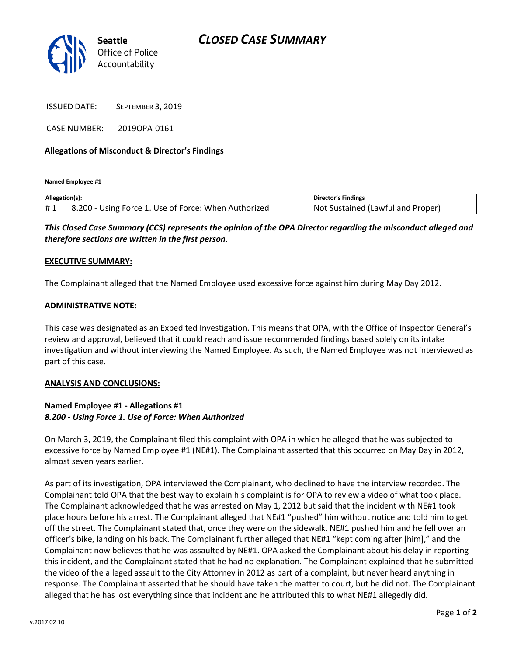## *CLOSED CASE SUMMARY*



ISSUED DATE: SEPTEMBER 3, 2019

CASE NUMBER: 2019OPA-0161

## **Allegations of Misconduct & Director's Findings**

**Named Employee #1**

| Allegation(s): |                                                       | Director's Findings                   |
|----------------|-------------------------------------------------------|---------------------------------------|
| #1             | 8.200<br>Using Force 1. Use of Force: When Authorized | Sustained (Lawful and Proper)<br>Not. |

*This Closed Case Summary (CCS) represents the opinion of the OPA Director regarding the misconduct alleged and therefore sections are written in the first person.* 

#### **EXECUTIVE SUMMARY:**

The Complainant alleged that the Named Employee used excessive force against him during May Day 2012.

#### **ADMINISTRATIVE NOTE:**

This case was designated as an Expedited Investigation. This means that OPA, with the Office of Inspector General's review and approval, believed that it could reach and issue recommended findings based solely on its intake investigation and without interviewing the Named Employee. As such, the Named Employee was not interviewed as part of this case.

#### **ANALYSIS AND CONCLUSIONS:**

## **Named Employee #1 - Allegations #1** *8.200 - Using Force 1. Use of Force: When Authorized*

On March 3, 2019, the Complainant filed this complaint with OPA in which he alleged that he was subjected to excessive force by Named Employee #1 (NE#1). The Complainant asserted that this occurred on May Day in 2012, almost seven years earlier.

As part of its investigation, OPA interviewed the Complainant, who declined to have the interview recorded. The Complainant told OPA that the best way to explain his complaint is for OPA to review a video of what took place. The Complainant acknowledged that he was arrested on May 1, 2012 but said that the incident with NE#1 took place hours before his arrest. The Complainant alleged that NE#1 "pushed" him without notice and told him to get off the street. The Complainant stated that, once they were on the sidewalk, NE#1 pushed him and he fell over an officer's bike, landing on his back. The Complainant further alleged that NE#1 "kept coming after [him]," and the Complainant now believes that he was assaulted by NE#1. OPA asked the Complainant about his delay in reporting this incident, and the Complainant stated that he had no explanation. The Complainant explained that he submitted the video of the alleged assault to the City Attorney in 2012 as part of a complaint, but never heard anything in response. The Complainant asserted that he should have taken the matter to court, but he did not. The Complainant alleged that he has lost everything since that incident and he attributed this to what NE#1 allegedly did.